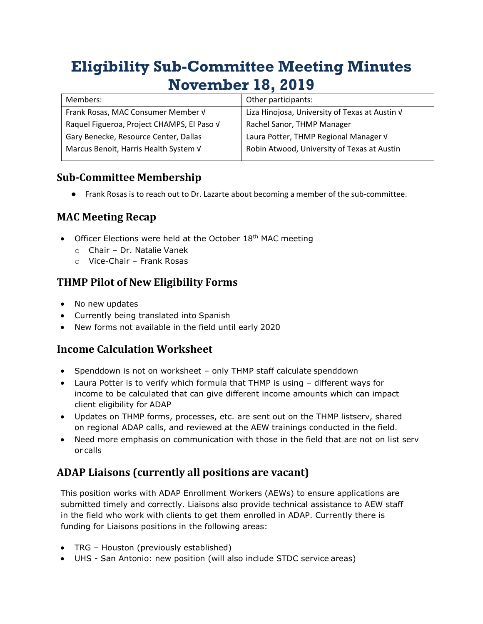# **Eligibility Sub-Committee Meeting Minutes November 18, 2019**

| Members:                                   | Other participants:                            |
|--------------------------------------------|------------------------------------------------|
| Frank Rosas, MAC Consumer Member V         | Liza Hinojosa, University of Texas at Austin V |
| Raquel Figueroa, Project CHAMPS, El Paso V | Rachel Sanor, THMP Manager                     |
| Gary Benecke, Resource Center, Dallas      | Laura Potter, THMP Regional Manager V          |
| Marcus Benoit, Harris Health System V      | Robin Atwood, University of Texas at Austin    |

### **Sub-Committee Membership**

● Frank Rosas is to reach out to Dr. Lazarte about becoming a member of the sub-committee.

## **MAC Meeting Recap**

- Officer Elections were held at the October 18<sup>th</sup> MAC meeting
	- o Chair Dr. Natalie Vanek
	- o Vice-Chair Frank Rosas

### **THMP Pilot of New Eligibility Forms**

- No new updates
- Currently being translated into Spanish
- New forms not available in the field until early 2020

### **Income Calculation Worksheet**

- Spenddown is not on worksheet only THMP staff calculate spenddown
- Laura Potter is to verify which formula that THMP is using different ways for income to be calculated that can give different income amounts which can impact client eligibility for ADAP
- Updates on THMP forms, processes, etc. are sent out on the THMP listserv, shared on regional ADAP calls, and reviewed at the AEW trainings conducted in the field.
- Need more emphasis on communication with those in the field that are not on list serv or calls

### **ADAP Liaisons (currently all positions are vacant)**

This position works with ADAP Enrollment Workers (AEWs) to ensure applications are submitted timely and correctly. Liaisons also provide technical assistance to AEW staff in the field who work with clients to get them enrolled in ADAP. Currently there is funding for Liaisons positions in the following areas:

- TRG Houston (previously established)
- UHS San Antonio: new position (will also include STDC service areas)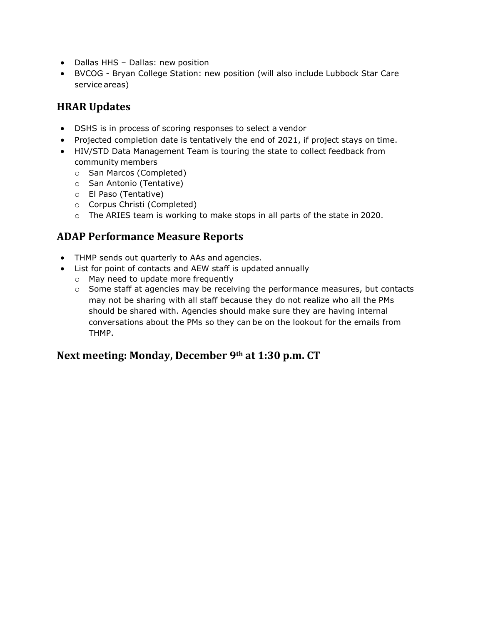- Dallas HHS Dallas: new position
- BVCOG Bryan College Station: new position (will also include Lubbock Star Care service areas)

## **HRAR Updates**

- DSHS is in process of scoring responses to select a vendor
- Projected completion date is tentatively the end of 2021, if project stays on time.
- HIV/STD Data Management Team is touring the state to collect feedback from community members
	- o San Marcos (Completed)
	- o San Antonio (Tentative)
	- o El Paso (Tentative)
	- o Corpus Christi (Completed)
	- o The ARIES team is working to make stops in all parts of the state in 2020.

### **ADAP Performance Measure Reports**

- THMP sends out quarterly to AAs and agencies.
- List for point of contacts and AEW staff is updated annually
	- o May need to update more frequently
	- $\circ$  Some staff at agencies may be receiving the performance measures, but contacts may not be sharing with all staff because they do not realize who all the PMs should be shared with. Agencies should make sure they are having internal conversations about the PMs so they can be on the lookout for the emails from THMP.

### **Next meeting: Monday, December 9th at 1:30 p.m. CT**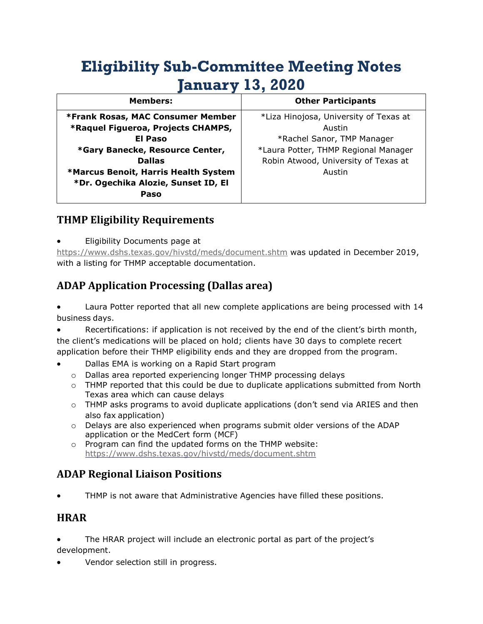## **Eligibility Sub-Committee Meeting Notes January 13, 2020**

| <b>Members:</b>                      | <b>Other Participants</b>              |
|--------------------------------------|----------------------------------------|
| *Frank Rosas, MAC Consumer Member    | *Liza Hinojosa, University of Texas at |
| *Raquel Figueroa, Projects CHAMPS,   | Austin                                 |
| El Paso                              | *Rachel Sanor, TMP Manager             |
| *Gary Banecke, Resource Center,      | *Laura Potter, THMP Regional Manager   |
| <b>Dallas</b>                        | Robin Atwood, University of Texas at   |
| *Marcus Benoit, Harris Health System | Austin                                 |
| *Dr. Ogechika Alozie, Sunset ID, El  |                                        |
| Paso                                 |                                        |

### **THMP Eligibility Requirements**

• Eligibility Documents page at

<https://www.dshs.texas.gov/hivstd/meds/document.shtm> was updated in December 2019, with a listing for THMP acceptable documentation.

## **ADAP Application Processing (Dallas area)**

• Laura Potter reported that all new complete applications are being processed with 14 business days.

• Recertifications: if application is not received by the end of the client's birth month, the client's medications will be placed on hold; clients have 30 days to complete recert application before their THMP eligibility ends and they are dropped from the program.

- Dallas EMA is working on a Rapid Start program
	- o Dallas area reported experiencing longer THMP processing delays
	- $\circ$  THMP reported that this could be due to duplicate applications submitted from North Texas area which can cause delays
	- $\circ$  THMP asks programs to avoid duplicate applications (don't send via ARIES and then also fax application)
	- $\circ$  Delays are also experienced when programs submit older versions of the ADAP application or the MedCert form (MCF)
	- o Program can find the updated forms on the THMP website: <https://www.dshs.texas.gov/hivstd/meds/document.shtm>

## **ADAP Regional Liaison Positions**

• THMP is not aware that Administrative Agencies have filled these positions.

#### **HRAR**

• The HRAR project will include an electronic portal as part of the project's development.

• Vendor selection still in progress.